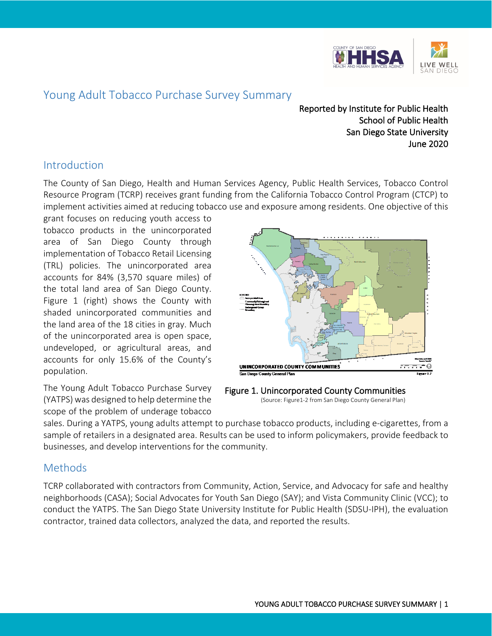

# Young Adult Tobacco Purchase Survey Summary

Reported by Institute for Public Health School of Public Health San Diego State University June 2020

## Introduction

The County of San Diego, Health and Human Services Agency, Public Health Services, Tobacco Control Resource Program (TCRP) receives grant funding from the California Tobacco Control Program (CTCP) to implement activities aimed at reducing tobacco use and exposure among residents. One objective of this

grant focuses on reducing youth access to tobacco products in the unincorporated area of San Diego County through implementation of Tobacco Retail Licensing (TRL) policies. The unincorporated area accounts for 84% (3,570 square miles) of the total land area of San Diego County. Figure 1 (right) shows the County with shaded unincorporated communities and the land area of the 18 cities in gray. Much of the unincorporated area is open space, undeveloped, or agricultural areas, and accounts for only 15.6% of the County's population.

The Young Adult Tobacco Purchase Survey (YATPS) was designed to help determine the scope of the problem of underage tobacco



Figure 1. Unincorporated County Communities<br>(Source: Figure1-2 from San Diego County General Plan)

sales. During a YATPS, young adults attempt to purchase tobacco products, including e-cigarettes, from a sample of retailers in a designated area. Results can be used to inform policymakers, provide feedback to businesses, and develop interventions for the community.

### Methods

TCRP collaborated with contractors from Community, Action, Service, and Advocacy for safe and healthy neighborhoods (CASA); Social Advocates for Youth San Diego (SAY); and Vista Community Clinic (VCC); to conduct the YATPS. The San Diego State University Institute for Public Health (SDSU-IPH), the evaluation contractor, trained data collectors, analyzed the data, and reported the results.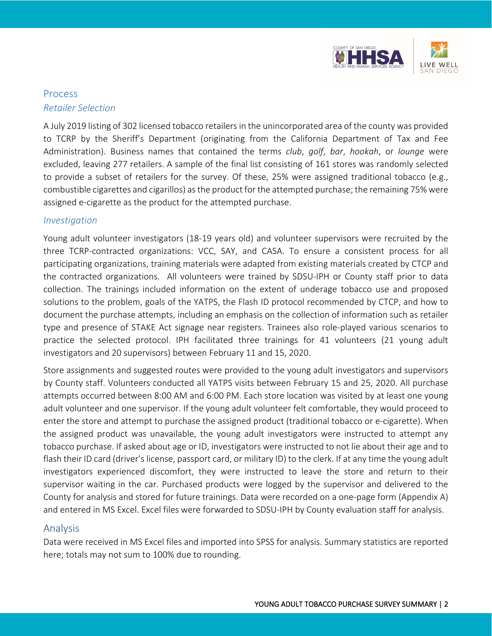

## Process *Retailer Selection*

A July 2019 listing of 302 licensed tobacco retailers in the unincorporated area of the county was provided to TCRP by the Sheriff's Department (originating from the California Department of Tax and Fee Administration). Business names that contained the terms *club*, *golf*, *bar*, *hookah*, or *lounge* were excluded, leaving 277 retailers. A sample of the final list consisting of 161 stores was randomly selected to provide a subset of retailers for the survey. Of these, 25% were assigned traditional tobacco (e.g., combustible cigarettes and cigarillos) as the product for the attempted purchase; the remaining 75% were assigned e-cigarette as the product for the attempted purchase.

#### *Investigation*

Young adult volunteer investigators (18-19 years old) and volunteer supervisors were recruited by the three TCRP-contracted organizations: VCC, SAY, and CASA. To ensure a consistent process for all participating organizations, training materials were adapted from existing materials created by CTCP and the contracted organizations. All volunteers were trained by SDSU-IPH or County staff prior to data collection. The trainings included information on the extent of underage tobacco use and proposed solutions to the problem, goals of the YATPS, the Flash ID protocol recommended by CTCP, and how to document the purchase attempts, including an emphasis on the collection of information such as retailer type and presence of STAKE Act signage near registers. Trainees also role-played various scenarios to practice the selected protocol. IPH facilitated three trainings for 41 volunteers (21 young adult investigators and 20 supervisors) between February 11 and 15, 2020.

Store assignments and suggested routes were provided to the young adult investigators and supervisors by County staff. Volunteers conducted all YATPS visits between February 15 and 25, 2020. All purchase attempts occurred between 8:00 AM and 6:00 PM. Each store location was visited by at least one young adult volunteer and one supervisor. If the young adult volunteer felt comfortable, they would proceed to enter the store and attempt to purchase the assigned product (traditional tobacco or e-cigarette). When the assigned product was unavailable, the young adult investigators were instructed to attempt any tobacco purchase. If asked about age or ID, investigators were instructed to not lie about their age and to flash their ID card (driver's license, passport card, or military ID) to the clerk. If at any time the young adult investigators experienced discomfort, they were instructed to leave the store and return to their supervisor waiting in the car. Purchased products were logged by the supervisor and delivered to the County for analysis and stored for future trainings. Data were recorded on a one-page form (Appendix A) and entered in MS Excel. Excel files were forwarded to SDSU-IPH by County evaluation staff for analysis.

#### Analysis

Data were received in MS Excel files and imported into SPSS for analysis. Summary statistics are reported here; totals may not sum to 100% due to rounding.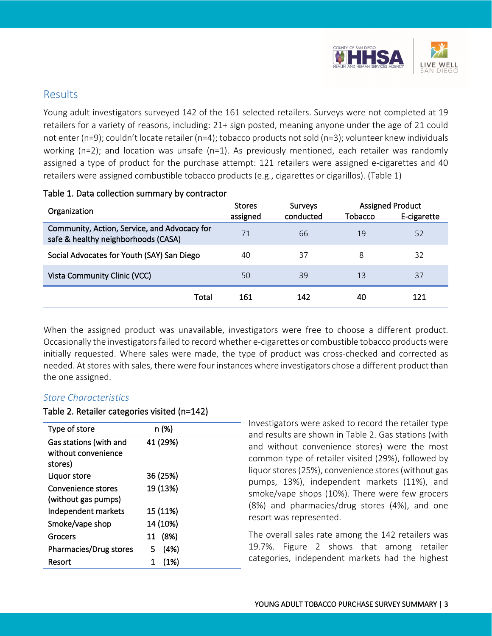

### Results

Young adult investigators surveyed 142 of the 161 selected retailers. Surveys were not completed at 19 retailers for a variety of reasons, including: 21+ sign posted, meaning anyone under the age of 21 could not enter (n=9); couldn't locate retailer (n=4); tobacco products not sold (n=3); volunteer knew individuals working ( $n=2$ ); and location was unsafe ( $n=1$ ). As previously mentioned, each retailer was randomly assigned a type of product for the purchase attempt: 121 retailers were assigned e-cigarettes and 40 retailers were assigned combustible tobacco products (e.g., cigarettes or cigarillos). (Table 1)

| Organization                                                                        | <b>Stores</b><br>assigned | <b>Surveys</b><br>conducted | Tobacco | <b>Assigned Product</b><br>E-cigarette |
|-------------------------------------------------------------------------------------|---------------------------|-----------------------------|---------|----------------------------------------|
| Community, Action, Service, and Advocacy for<br>safe & healthy neighborhoods (CASA) | 71                        | 66                          | 19      | 52                                     |
| Social Advocates for Youth (SAY) San Diego                                          | 40                        | 37                          | 8       | 32                                     |
| Vista Community Clinic (VCC)                                                        | 50                        | 39                          | 13      | 37                                     |
| Total                                                                               | 161                       | 142                         | 40      | 121                                    |

#### Table 1. Data collection summary by contractor

When the assigned product was unavailable, investigators were free to choose a different product. Occasionally the investigators failed to record whether e-cigarettes or combustible tobacco products were initially requested. Where sales were made, the type of product was cross-checked and corrected as needed. At stores with sales, there were four instances where investigators chose a different product than the one assigned.

#### *Store Characteristics*

#### Table 2. Retailer categories visited (n=142)

| Type of store                                            | n (%)     |
|----------------------------------------------------------|-----------|
| Gas stations (with and<br>without convenience<br>stores) | 41 (29%)  |
| Liquor store                                             | 36 (25%)  |
| Convenience stores<br>(without gas pumps)                | 19 (13%)  |
| Independent markets                                      | 15 (11%)  |
| Smoke/vape shop                                          | 14 (10%)  |
| Grocers                                                  | 11 (8%)   |
| Pharmacies/Drug stores                                   | (4%)<br>5 |
| Resort                                                   | (1%)      |

 $-$  Investigators were asked to record the retailer type and results are shown in Table 2. Gas stations (with and without convenience stores) were the most common type of retailer visited (29%), followed by liquor stores (25%), convenience stores (without gas pumps, 13%), independent markets (11%), and smoke/vape shops (10%). There were few grocers (8%) and pharmacies/drug stores (4%), and one resort was represented.

The overall sales rate among the 142 retailers was 19.7%. Figure 2 shows that among retailer categories, independent markets had the highest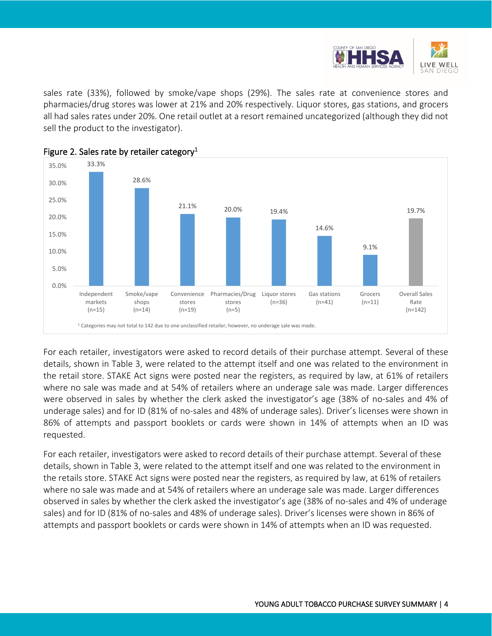

sales rate (33%), followed by smoke/vape shops (29%). The sales rate at convenience stores and pharmacies/drug stores was lower at 21% and 20% respectively. Liquor stores, gas stations, and grocers all had sales rates under 20%. One retail outlet at a resort remained uncategorized (although they did not sell the product to the investigator).



Figure 2. Sales rate by retailer category<sup>1</sup>

For each retailer, investigators were asked to record details of their purchase attempt. Several of these details, shown in Table 3, were related to the attempt itself and one was related to the environment in the retail store. STAKE Act signs were posted near the registers, as required by law, at 61% of retailers where no sale was made and at 54% of retailers where an underage sale was made. Larger differences were observed in sales by whether the clerk asked the investigator's age (38% of no-sales and 4% of underage sales) and for ID (81% of no-sales and 48% of underage sales). Driver's licenses were shown in 86% of attempts and passport booklets or cards were shown in 14% of attempts when an ID was requested.

For each retailer, investigators were asked to record details of their purchase attempt. Several of these details, shown in Table 3, were related to the attempt itself and one was related to the environment in the retails store. STAKE Act signs were posted near the registers, as required by law, at 61% of retailers where no sale was made and at 54% of retailers where an underage sale was made. Larger differences observed in sales by whether the clerk asked the investigator's age (38% of no-sales and 4% of underage sales) and for ID (81% of no-sales and 48% of underage sales). Driver's licenses were shown in 86% of attempts and passport booklets or cards were shown in 14% of attempts when an ID was requested.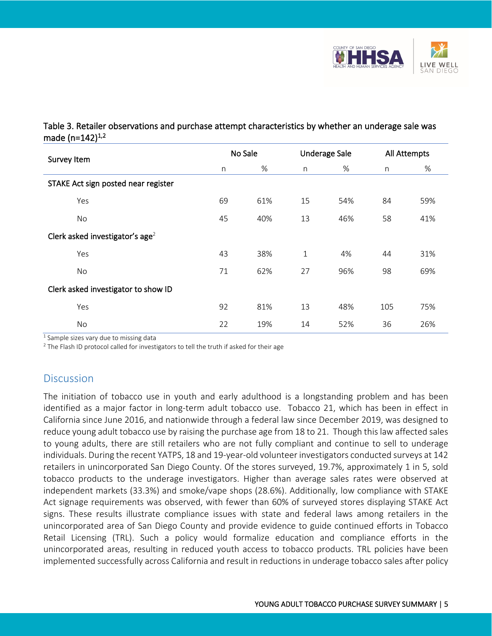

### Table 3. Retailer observations and purchase attempt characteristics by whether an underage sale was made (n=142)<sup>1,2</sup>

| Survey Item                                 |    | No Sale |             | <b>Underage Sale</b> |     | All Attempts |  |
|---------------------------------------------|----|---------|-------------|----------------------|-----|--------------|--|
|                                             | n  | $\%$    | n           | %                    | n   | %            |  |
| STAKE Act sign posted near register         |    |         |             |                      |     |              |  |
| Yes                                         | 69 | 61%     | 15          | 54%                  | 84  | 59%          |  |
| No                                          | 45 | 40%     | 13          | 46%                  | 58  | 41%          |  |
| Clerk asked investigator's age <sup>2</sup> |    |         |             |                      |     |              |  |
| Yes                                         | 43 | 38%     | $\mathbf 1$ | 4%                   | 44  | 31%          |  |
| No                                          | 71 | 62%     | 27          | 96%                  | 98  | 69%          |  |
| Clerk asked investigator to show ID         |    |         |             |                      |     |              |  |
| Yes                                         | 92 | 81%     | 13          | 48%                  | 105 | 75%          |  |
| No                                          | 22 | 19%     | 14          | 52%                  | 36  | 26%          |  |

 $\sqrt[1]{1}$  Sample sizes vary due to missing data

<sup>2</sup> The Flash ID protocol called for investigators to tell the truth if asked for their age

## **Discussion**

The initiation of tobacco use in youth and early adulthood is a longstanding problem and has been identified as a major factor in long-term adult tobacco use. Tobacco 21, which has been in effect in California since June 2016, and nationwide through a federal law since December 2019, was designed to reduce young adult tobacco use by raising the purchase age from 18 to 21. Though this law affected sales to young adults, there are still retailers who are not fully compliant and continue to sell to underage individuals. During the recent YATPS, 18 and 19-year-old volunteer investigators conducted surveys at 142 retailers in unincorporated San Diego County. Of the stores surveyed, 19.7%, approximately 1 in 5, sold tobacco products to the underage investigators. Higher than average sales rates were observed at independent markets (33.3%) and smoke/vape shops (28.6%). Additionally, low compliance with STAKE Act signage requirements was observed, with fewer than 60% of surveyed stores displaying STAKE Act signs. These results illustrate compliance issues with state and federal laws among retailers in the unincorporated area of San Diego County and provide evidence to guide continued efforts in Tobacco Retail Licensing (TRL). Such a policy would formalize education and compliance efforts in the unincorporated areas, resulting in reduced youth access to tobacco products. TRL policies have been implemented successfully across California and result in reductions in underage tobacco sales after policy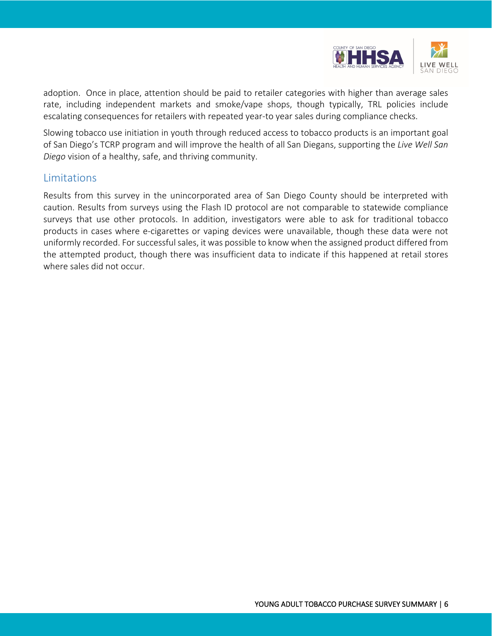

adoption. Once in place, attention should be paid to retailer categories with higher than average sales rate, including independent markets and smoke/vape shops, though typically, TRL policies include escalating consequences for retailers with repeated year-to year sales during compliance checks.

Slowing tobacco use initiation in youth through reduced access to tobacco products is an important goal of San Diego's TCRP program and will improve the health of all San Diegans, supporting the *Live Well San Diego* vision of a healthy, safe, and thriving community.

### **Limitations**

Results from this survey in the unincorporated area of San Diego County should be interpreted with caution. Results from surveys using the Flash ID protocol are not comparable to statewide compliance surveys that use other protocols. In addition, investigators were able to ask for traditional tobacco products in cases where e-cigarettes or vaping devices were unavailable, though these data were not uniformly recorded. For successful sales, it was possible to know when the assigned product differed from the attempted product, though there was insufficient data to indicate if this happened at retail stores where sales did not occur.